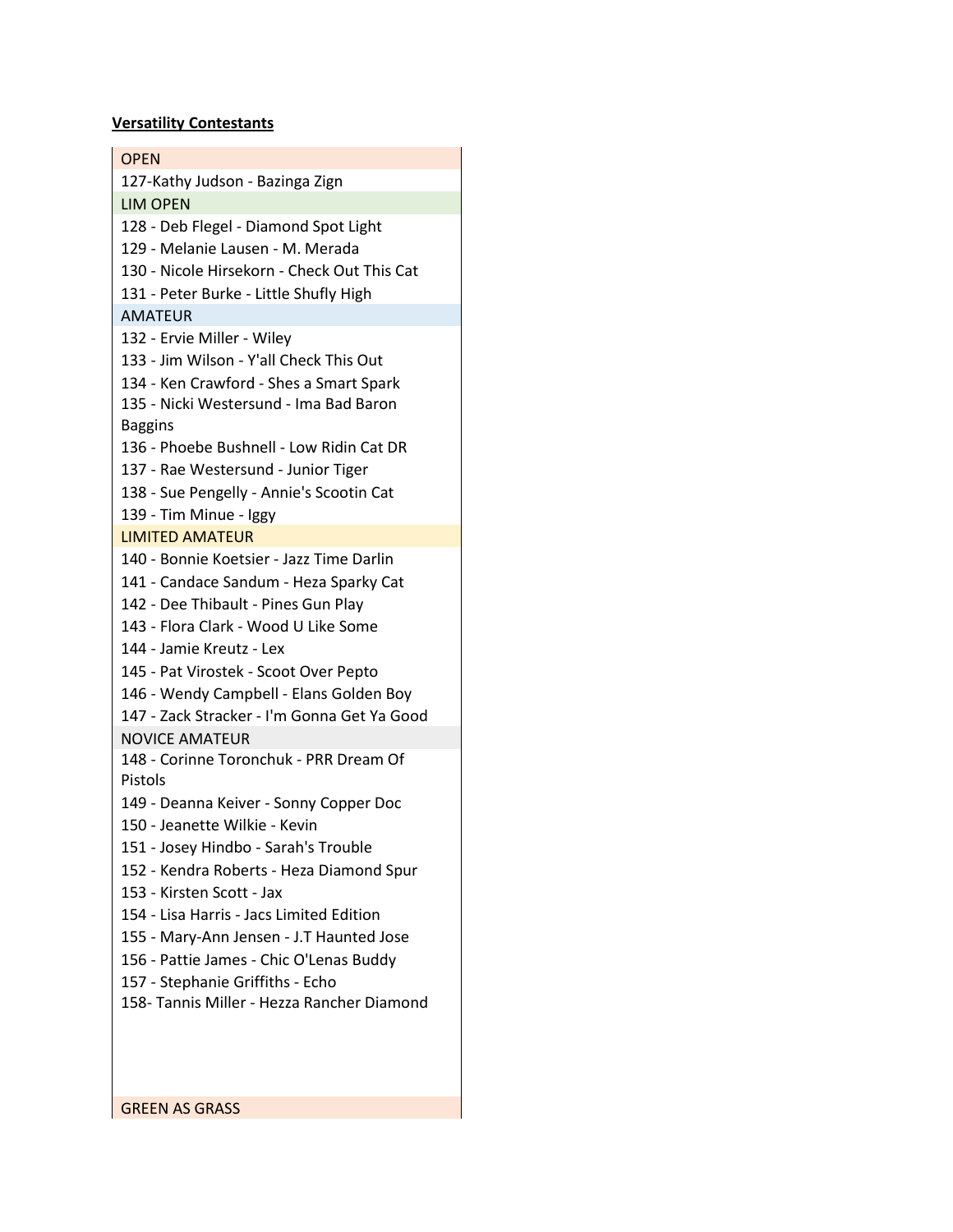## **Versatility Contestants**

| <b>OPEN</b>                                 |
|---------------------------------------------|
| 127-Kathy Judson - Bazinga Zign             |
| <b>LIM OPEN</b>                             |
| 128 - Deb Flegel - Diamond Spot Light       |
| 129 - Melanie Lausen - M. Merada            |
| 130 - Nicole Hirsekorn - Check Out This Cat |
| 131 - Peter Burke - Little Shufly High      |
| <b>AMATEUR</b>                              |
| 132 - Ervie Miller - Wiley                  |
| 133 - Jim Wilson - Y'all Check This Out     |
| 134 - Ken Crawford - Shes a Smart Spark     |
| 135 - Nicki Westersund - Ima Bad Baron      |
| <b>Baggins</b>                              |
| 136 - Phoebe Bushnell - Low Ridin Cat DR    |
| 137 - Rae Westersund - Junior Tiger         |
| 138 - Sue Pengelly - Annie's Scootin Cat    |
| 139 - Tim Minue - Iggy                      |
| <b>LIMITED AMATEUR</b>                      |
| 140 - Bonnie Koetsier - Jazz Time Darlin    |
| 141 - Candace Sandum - Heza Sparky Cat      |
| 142 - Dee Thibault - Pines Gun Play         |
| 143 - Flora Clark - Wood U Like Some        |
| 144 - Jamie Kreutz - Lex                    |
| 145 - Pat Virostek - Scoot Over Pepto       |
| 146 - Wendy Campbell - Elans Golden Boy     |
| 147 - Zack Stracker - I'm Gonna Get Ya Good |
| <b>NOVICE AMATEUR</b>                       |
| 148 - Corinne Toronchuk - PRR Dream Of      |
| Pistols                                     |
| 149 - Deanna Keiver - Sonny Copper Doc      |
| 150 - Jeanette Wilkie - Kevin               |
| 151 - Josey Hindbo - Sarah's Trouble        |
| 152 - Kendra Roberts - Heza Diamond Spur    |
| 153 - Kirsten Scott - Jax                   |
| 154 - Lisa Harris - Jacs Limited Edition    |
| 155 - Mary-Ann Jensen - J.T Haunted Jose    |
| 156 - Pattie James - Chic O'Lenas Buddy     |
| 157 - Stephanie Griffiths - Echo            |
| 158- Tannis Miller - Hezza Rancher Diamond  |
|                                             |
|                                             |

GREEN AS GRASS